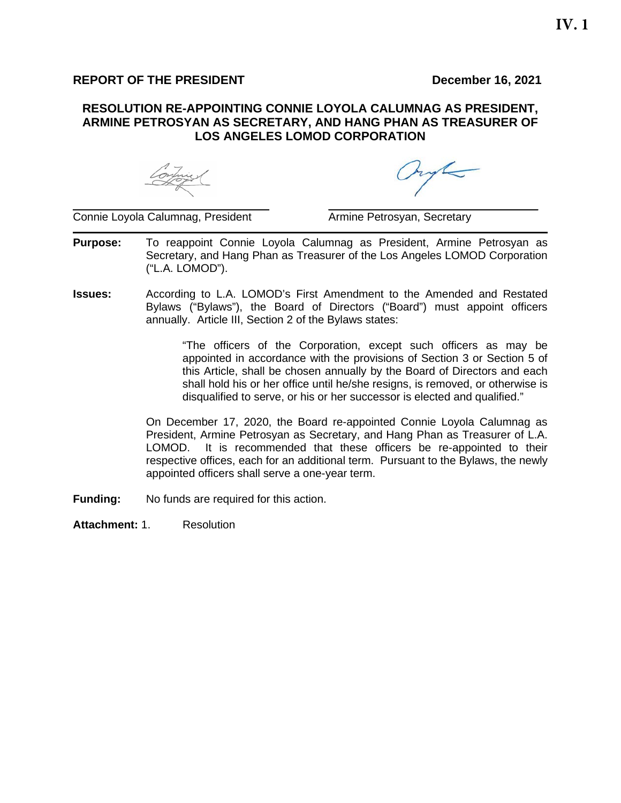## **REPORT OF THE PRESIDENT DECEMBER 16, 2021**

## **RESOLUTION RE-APPOINTING CONNIE LOYOLA CALUMNAG AS PRESIDENT, ARMINE PETROSYAN AS SECRETARY, AND HANG PHAN AS TREASURER OF LOS ANGELES LOMOD CORPORATION**

hype

 $\overline{\phantom{a}}$  , and the contribution of the contribution of the contribution of the contribution of the contribution of the contribution of the contribution of the contribution of the contribution of the contribution of the Connie Loyola Calumnag, President **Armine Petrosyan, Secretary** 

- **Purpose:** To reappoint Connie Loyola Calumnag as President, Armine Petrosyan as Secretary, and Hang Phan as Treasurer of the Los Angeles LOMOD Corporation ("L.A. LOMOD").
- **Issues:** According to L.A. LOMOD's First Amendment to the Amended and Restated Bylaws ("Bylaws"), the Board of Directors ("Board") must appoint officers annually. Article III, Section 2 of the Bylaws states:

"The officers of the Corporation, except such officers as may be appointed in accordance with the provisions of Section 3 or Section 5 of this Article, shall be chosen annually by the Board of Directors and each shall hold his or her office until he/she resigns, is removed, or otherwise is disqualified to serve, or his or her successor is elected and qualified."

On December 17, 2020, the Board re-appointed Connie Loyola Calumnag as President, Armine Petrosyan as Secretary, and Hang Phan as Treasurer of L.A. LOMOD. It is recommended that these officers be re-appointed to their respective offices, each for an additional term. Pursuant to the Bylaws, the newly appointed officers shall serve a one-year term.

**Funding:** No funds are required for this action.

**Attachment:** 1. Resolution